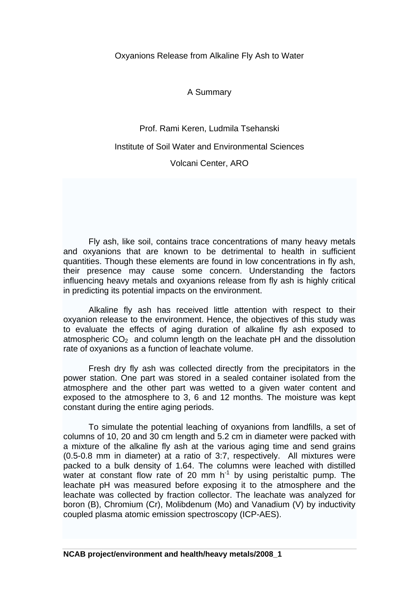Oxyanions Release from Alkaline Fly Ash to Water

A Summary

Prof. Rami Keren, Ludmila Tsehanski

## Institute of Soil Water and Environmental Sciences

Volcani Center, ARO

Fly ash, like soil, contains trace concentrations of many [heavy metals](http://en.wikipedia.org/wiki/Heavy_metals) and oxyanions that are known to be detrimental to health in sufficient quantities. Though these elements are found in low concentrations in fly ash, their presence may cause some concern. Understanding the factors influencing heavy metals and oxyanions release from fly ash is highly critical in predicting its potential impacts on the environment.

Alkaline fly ash has received little attention with respect to their oxyanion release to the environment. Hence, the objectives of this study was to evaluate the effects of aging duration of alkaline fly ash exposed to atmospheric  $CO<sub>2</sub>$  and column length on the leachate pH and the dissolution rate of oxyanions as a function of leachate volume.

Fresh dry fly ash was collected directly from the precipitators in the power station. One part was stored in a sealed container isolated from the atmosphere and the other part was wetted to a given water content and exposed to the atmosphere to 3, 6 and 12 months. The moisture was kept constant during the entire aging periods.

To simulate the potential leaching of oxyanions from landfills, a set of columns of 10, 20 and 30 cm length and 5.2 cm in diameter were packed with a mixture of the alkaline fly ash at the various aging time and send grains (0.5-0.8 mm in diameter) at a ratio of 3:7, respectively. All mixtures were packed to a bulk density of 1.64. The columns were leached with distilled water at constant flow rate of 20 mm  $h^{-1}$  by using peristaltic pump. The leachate pH was measured before exposing it to the atmosphere and the leachate was collected by fraction collector. The leachate was analyzed for boron (B), Chromium (Cr), Molibdenum (Mo) and Vanadium (V) by inductivity coupled plasma atomic emission spectroscopy (ICP-AES).